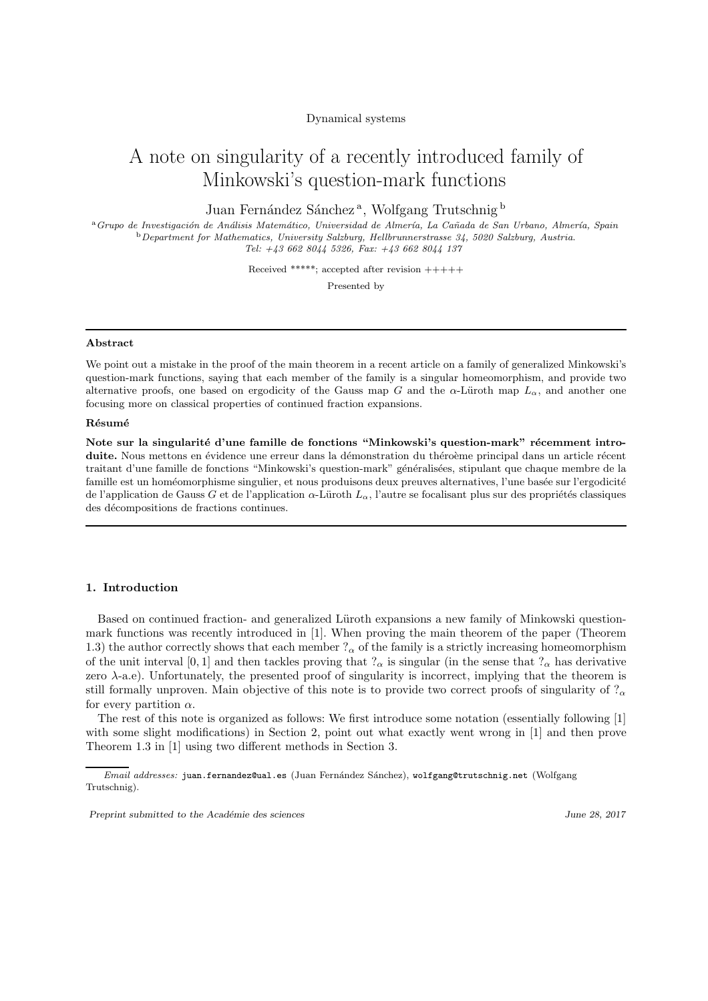Dynamical systems

# A note on singularity of a recently introduced family of Minkowski's question-mark functions

Juan Fernández Sánchez<sup>a</sup>, Wolfgang Trutschnig b

<sup>a</sup> Grupo de Investigación de Análisis Matemático, Universidad de Almería, La Cañada de San Urbano, Almería, Spain <sup>b</sup>*Department for Mathematics, University Salzburg, Hellbrunnerstrasse 34, 5020 Salzburg, Austria. Tel: +43 662 8044 5326, Fax: +43 662 8044 137*

> Received \*\*\*\*\*; accepted after revision  $+++++$ Presented by

#### Abstract

We point out a mistake in the proof of the main theorem in a recent article on a family of generalized Minkowski's question-mark functions, saying that each member of the family is a singular homeomorphism, and provide two alternative proofs, one based on ergodicity of the Gauss map G and the  $\alpha$ -Lüroth map  $L_{\alpha}$ , and another one focusing more on classical properties of continued fraction expansions.

#### Résumé

Note sur la singularité d'une famille de fonctions "Minkowski's question-mark" récemment introduite. Nous mettons en évidence une erreur dans la démonstration du théroème principal dans un article récent traitant d'une famille de fonctions "Minkowski's question-mark" généralisées, stipulant que chaque membre de la famille est un homéomorphisme singulier, et nous produisons deux preuves alternatives, l'une basée sur l'ergodicité de l'application de Gauss G et de l'application  $\alpha$ -Lüroth  $L_{\alpha}$ , l'autre se focalisant plus sur des propriétés classiques des décompositions de fractions continues.

#### 1. Introduction

Based on continued fraction- and generalized Lüroth expansions a new family of Minkowski questionmark functions was recently introduced in [1]. When proving the main theorem of the paper (Theorem 1.3) the author correctly shows that each member  $?_{\alpha}$  of the family is a strictly increasing homeomorphism of the unit interval [0, 1] and then tackles proving that  $\alpha$  is singular (in the sense that  $\alpha$  has derivative zero  $\lambda$ -a.e). Unfortunately, the presented proof of singularity is incorrect, implying that the theorem is still formally unproven. Main objective of this note is to provide two correct proofs of singularity of  $?_{\alpha}$ for every partition  $\alpha$ .

The rest of this note is organized as follows: We first introduce some notation (essentially following [1] with some slight modifications) in Section 2, point out what exactly went wrong in [1] and then prove Theorem 1.3 in [1] using two different methods in Section 3.

*Email addresses:* juan.fernandez@ual.es (Juan Fern´andez S´anchez), wolfgang@trutschnig.net (Wolfgang Trutschnig).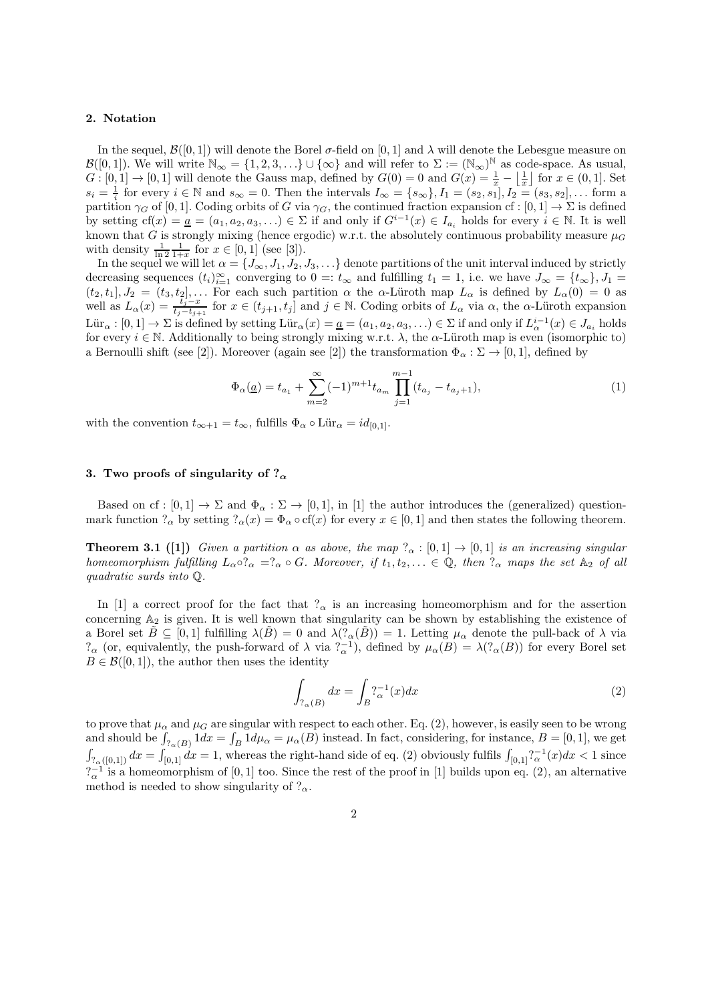#### 2. Notation

In the sequel,  $\mathcal{B}([0,1])$  will denote the Borel  $\sigma$ -field on [0, 1] and  $\lambda$  will denote the Lebesgue measure on  $\mathcal{B}([0,1])$ . We will write  $\mathbb{N}_{\infty} = \{1,2,3,\ldots\} \cup \{\infty\}$  and will refer to  $\Sigma := (\mathbb{N}_{\infty})^{\mathbb{N}}$  as code-space. As usual,  $G: [0,1] \to [0,1]$  will denote the Gauss map, defined by  $G(0) = 0$  and  $G(x) = \frac{1}{x} - \left\lfloor \frac{1}{x} \right\rfloor$  for  $x \in (0,1]$ . Set  $s_i = \frac{1}{i}$  for every  $i \in \mathbb{N}$  and  $s_{\infty} = 0$ . Then the intervals  $I_{\infty} = \{s_{\infty}\}, I_1 = (s_2, s_1], I_2 = (s_3, s_2], \dots$  form a partition  $\gamma_G$  of [0, 1]. Coding orbits of G via  $\gamma_G$ , the continued fraction expansion cf : [0, 1]  $\to \Sigma$  is defined by setting  $cf(x) = a = (a_1, a_2, a_3, \ldots) \in \Sigma$  if and only if  $G^{i-1}(x) \in I_{a_i}$  holds for every  $i \in \mathbb{N}$ . It is well known that G is strongly mixing (hence ergodic) w.r.t. the absolutely continuous probability measure  $\mu_G$ with density  $\frac{1}{\ln 2} \frac{1}{1+x}$  for  $x \in [0,1]$  (see [3]).

In the sequel we will let  $\alpha = \{J_\infty, J_1, J_2, J_3, \ldots\}$  denote partitions of the unit interval induced by strictly decreasing sequences  $(t_i)_{i=1}^{\infty}$  converging to  $0 =: t_{\infty}$  and fulfilling  $t_1 = 1$ , i.e. we have  $J_{\infty} = \{t_{\infty}\}, J_1 =$  $(t_2, t_1], J_2 = (t_3, t_2], \ldots$  For each such partition  $\alpha$  the  $\alpha$ -Lüroth map  $L_\alpha$  is defined by  $L_\alpha(0) = 0$  as well as  $L_{\alpha}(x) = \frac{\tilde{t}_{j-x}^{\gamma}}{t_{j}-t_{j+1}}$  for  $x \in (t_{j+1}, t_j]$  and  $j \in \mathbb{N}$ . Coding orbits of  $L_{\alpha}$  via  $\alpha$ , the  $\alpha$ -Lüroth expansion  $\text{Lür}_{\alpha}: [0,1] \to \Sigma$  is defined by setting  $\text{Lür}_{\alpha}(x) = \underline{a} = (a_1, a_2, a_3, \ldots) \in \Sigma$  if and only if  $L^{i-1}_{\alpha}(x) \in J_{a_i}$  holds for every  $i \in \mathbb{N}$ . Additionally to being strongly mixing w.r.t.  $\lambda$ , the  $\alpha$ -Lüroth map is even (isomorphic to) a Bernoulli shift (see [2]). Moreover (again see [2]) the transformation  $\Phi_{\alpha} : \Sigma \to [0,1]$ , defined by

$$
\Phi_{\alpha}(\underline{a}) = t_{a_1} + \sum_{m=2}^{\infty} (-1)^{m+1} t_{a_m} \prod_{j=1}^{m-1} (t_{a_j} - t_{a_j+1}),
$$
\n(1)

with the convention  $t_{\infty+1} = t_{\infty}$ , fulfills  $\Phi_{\alpha} \circ \text{Lür}_{\alpha} = id_{[0,1]}$ .

## 3. Two proofs of singularity of  $?_{\alpha}$

Based on cf :  $[0,1] \to \Sigma$  and  $\Phi_{\alpha} : \Sigma \to [0,1]$ , in [1] the author introduces the (generalized) questionmark function  $?_{\alpha}$  by setting  $?_{\alpha}(x) = \Phi_{\alpha} \circ \text{cf}(x)$  for every  $x \in [0,1]$  and then states the following theorem.

**Theorem 3.1** ([1]) *Given a partition*  $\alpha$  *as above, the map*  $?_{\alpha} : [0,1] \rightarrow [0,1]$  *is an increasing singular homeomorphism fulfilling*  $L_{\alpha} \circ ?_{\alpha} = ?_{\alpha} \circ G$ *. Moreover, if*  $t_1, t_2, \ldots \in \mathbb{Q}$ *, then*  $?_{\alpha}$  *maps the set*  $\mathbb{A}_2$  *of all quadratic surds into* Q*.*

In [1] a correct proof for the fact that  $\alpha$  is an increasing homeomorphism and for the assertion concerning  $A_2$  is given. It is well known that singularity can be shown by establishing the existence of a Borel set  $\tilde{B} \subseteq [0,1]$  fulfilling  $\lambda(\tilde{B}) = 0$  and  $\lambda(\tilde{P}_{\alpha}(\tilde{B})) = 1$ . Letting  $\mu_{\alpha}$  denote the pull-back of  $\lambda$  via  $?_{\alpha}$  (or, equivalently, the push-forward of  $\lambda$  via  $?_{\alpha}^{-1}$ ), defined by  $\mu_{\alpha}(B) = \lambda(?_{\alpha}(B))$  for every Borel set  $B \in \mathcal{B}([0,1])$ , the author then uses the identity

$$
\int_{\mathcal{V}_{\alpha}(B)} dx = \int_{B} \mathcal{V}_{\alpha}^{-1}(x) dx \tag{2}
$$

to prove that  $\mu_{\alpha}$  and  $\mu_{G}$  are singular with respect to each other. Eq. (2), however, is easily seen to be wrong and should be  $\int_{?_{\alpha}(B)} 1 dx = \int_B 1 d\mu_{\alpha} = \mu_{\alpha}(B)$  instead. In fact, considering, for instance,  $B = [0, 1]$ , we get  $\int_{R_{\alpha}([0,1])} dx = \int_{[0,1]} dx = 1$ , whereas the right-hand side of eq. (2) obviously fulfils  $\int_{[0,1]} \int_{\alpha}^{1} (x) dx < 1$  since  $2\frac{1}{\alpha}$  is a homeomorphism of [0, 1] too. Since the rest of the proof in [1] builds upon eq. (2), an alternative method is needed to show singularity of  $?_{\alpha}$ .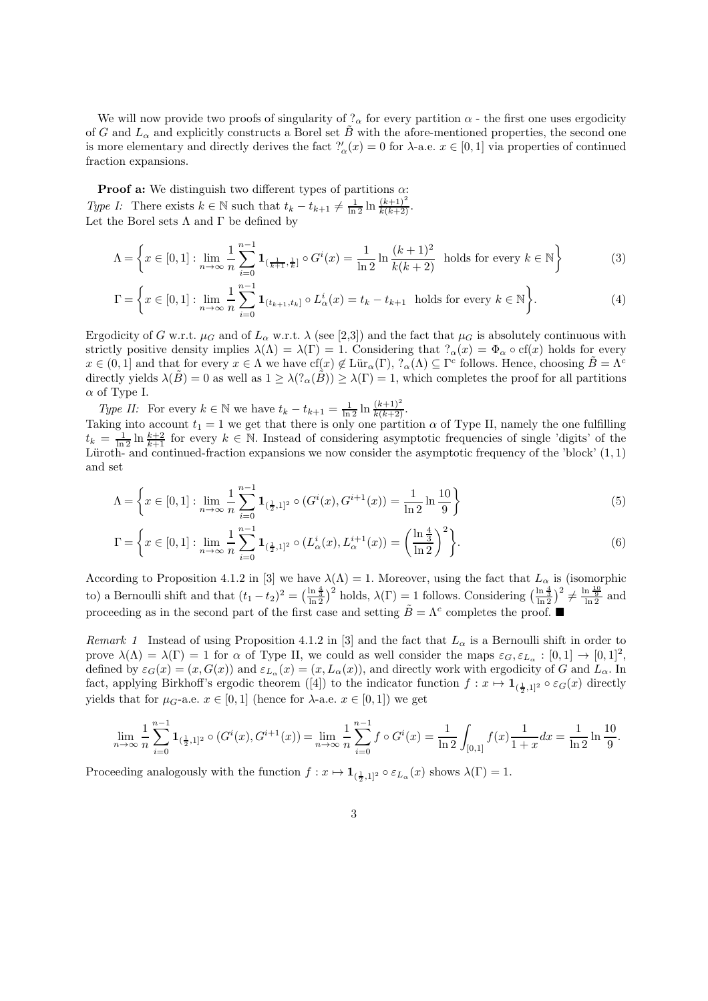We will now provide two proofs of singularity of  $\alpha$  for every partition  $\alpha$  - the first one uses ergodicity of G and  $L_{\alpha}$  and explicitly constructs a Borel set B with the afore-mentioned properties, the second one is more elementary and directly derives the fact  $?'_\alpha(x) = 0$  for  $\lambda$ -a.e.  $x \in [0,1]$  via properties of continued fraction expansions.

**Proof a:** We distinguish two different types of partitions  $\alpha$ : *Type I:* There exists  $k \in \mathbb{N}$  such that  $t_k - t_{k+1} \neq \frac{1}{\ln 2} \ln \frac{(k+1)^2}{k(k+2)}$ . Let the Borel sets  $\Lambda$  and  $\Gamma$  be defined by

$$
\Lambda = \left\{ x \in [0,1] : \lim_{n \to \infty} \frac{1}{n} \sum_{i=0}^{n-1} \mathbf{1}_{\left(\frac{1}{k+1}, \frac{1}{k}\right]} \circ G^i(x) = \frac{1}{\ln 2} \ln \frac{(k+1)^2}{k(k+2)} \text{ holds for every } k \in \mathbb{N} \right\}
$$
(3)

$$
\Gamma = \left\{ x \in [0,1] : \lim_{n \to \infty} \frac{1}{n} \sum_{i=0}^{n-1} \mathbf{1}_{(t_{k+1},t_k]} \circ L^i_{\alpha}(x) = t_k - t_{k+1} \text{ holds for every } k \in \mathbb{N} \right\}.
$$
 (4)

Ergodicity of G w.r.t.  $\mu_G$  and of  $L_\alpha$  w.r.t.  $\lambda$  (see [2,3]) and the fact that  $\mu_G$  is absolutely continuous with strictly positive density implies  $\lambda(\Lambda) = \lambda(\Gamma) = 1$ . Considering that  $?_{\alpha}(x) = \Phi_{\alpha} \circ \text{cf}(x)$  holds for every  $x \in (0,1]$  and that for every  $x \in \Lambda$  we have  $cf(x) \notin \text{Lür}_{\alpha}(\Gamma),$   $\Omega_{\alpha}(\Lambda) \subseteq \Gamma^c$  follows. Hence, choosing  $\tilde{B} = \Lambda^c$ directly yields  $\lambda(\tilde{B}) = 0$  as well as  $1 \geq \lambda(2_{\alpha}(\tilde{B})) \geq \lambda(\Gamma) = 1$ , which completes the proof for all partitions  $\alpha$  of Type I.

*Type II:* For every  $k \in \mathbb{N}$  we have  $t_k - t_{k+1} = \frac{1}{\ln 2} \ln \frac{(k+1)^2}{k(k+2)}$ . Taking into account  $t_1 = 1$  we get that there is only one partition  $\alpha$  of Type II, namely the one fulfilling

 $t_k = \frac{1}{\ln 2} \ln \frac{k+2}{k+1}$  for every  $k \in \mathbb{N}$ . Instead of considering asymptotic frequencies of single 'digits' of the Lüroth- and continued-fraction expansions we now consider the asymptotic frequency of the 'block'  $(1,1)$ and set

$$
\Lambda = \left\{ x \in [0,1] : \lim_{n \to \infty} \frac{1}{n} \sum_{i=0}^{n-1} \mathbf{1}_{\left(\frac{1}{2},1\right)^2} \circ (G^i(x), G^{i+1}(x)) = \frac{1}{\ln 2} \ln \frac{10}{9} \right\}
$$
(5)

$$
\Gamma = \left\{ x \in [0,1] : \lim_{n \to \infty} \frac{1}{n} \sum_{i=0}^{n-1} \mathbf{1}_{(\frac{1}{2},1]^2} \circ (L^i_{\alpha}(x), L^{i+1}_{\alpha}(x)) = \left(\frac{\ln \frac{4}{3}}{\ln 2}\right)^2 \right\}.
$$
 (6)

According to Proposition 4.1.2 in [3] we have  $\lambda(\Lambda) = 1$ . Moreover, using the fact that  $L_{\alpha}$  is (isomorphic to) a Bernoulli shift and that  $(t_1 - t_2)^2 = \left(\frac{\ln \frac{4}{3}}{\ln 2}\right)^2$  holds,  $\lambda(\Gamma) = 1$  follows. Considering  $\left(\frac{\ln \frac{4}{3}}{\ln 2}\right)^2 \neq \frac{\ln \frac{10}{9}}{\ln 2}$  and proceeding as in the second part of the first case and setting  $\tilde{B} = \Lambda^c$  completes the proof.

*Remark 1* Instead of using Proposition 4.1.2 in [3] and the fact that  $L_{\alpha}$  is a Bernoulli shift in order to prove  $\lambda(\Lambda) = \lambda(\Gamma) = 1$  for  $\alpha$  of Type II, we could as well consider the maps  $\varepsilon_G$ ,  $\varepsilon_{L_\alpha} : [0,1] \to [0,1]^2$ , defined by  $\varepsilon_G(x) = (x, G(x))$  and  $\varepsilon_{L_\alpha}(x) = (x, L_\alpha(x))$ , and directly work with ergodicity of G and  $L_\alpha$ . In fact, applying Birkhoff's ergodic theorem ([4]) to the indicator function  $f: x \mapsto 1_{(\frac{1}{2},1]^2} \circ \varepsilon_G(x)$  directly yields that for  $\mu_G$ -a.e.  $x \in [0,1]$  (hence for  $\lambda$ -a.e.  $x \in [0,1]$ ) we get

$$
\lim_{n \to \infty} \frac{1}{n} \sum_{i=0}^{n-1} \mathbf{1}_{(\frac{1}{2},1]^2} \circ (G^i(x), G^{i+1}(x)) = \lim_{n \to \infty} \frac{1}{n} \sum_{i=0}^{n-1} f \circ G^i(x) = \frac{1}{\ln 2} \int_{[0,1]} f(x) \frac{1}{1+x} dx = \frac{1}{\ln 2} \ln \frac{10}{9}.
$$

Proceeding analogously with the function  $f: x \mapsto 1_{(\frac{1}{2},1]^2} \circ \varepsilon_{L_\alpha}(x)$  shows  $\lambda(\Gamma) = 1$ .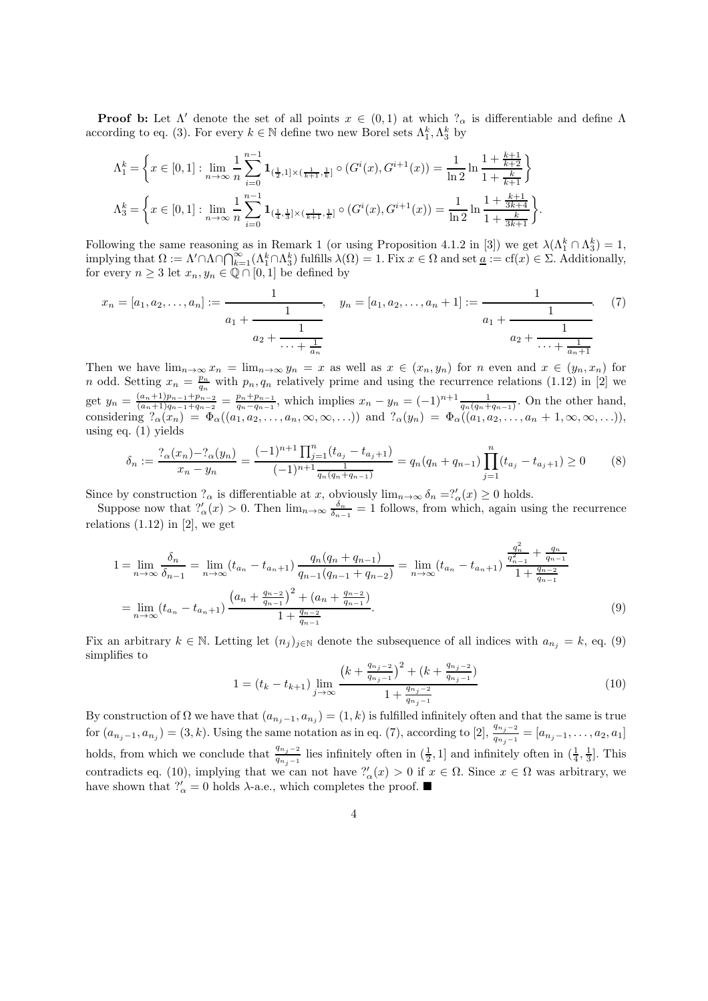**Proof b:** Let  $\Lambda'$  denote the set of all points  $x \in (0,1)$  at which  $?_\alpha$  is differentiable and define  $\Lambda$ according to eq. (3). For every  $k \in \mathbb{N}$  define two new Borel sets  $\Lambda_1^k, \Lambda_3^k$  by

$$
\begin{split} \Lambda^k_1 = \bigg\{ & x \in [0,1]: \lim_{n \to \infty} \frac{1}{n} \sum_{i=0}^{n-1} \mathbf{1}_{(\frac{1}{2},1] \times (\frac{1}{k+1},\frac{1}{k}]} \circ (G^i(x),G^{i+1}(x)) = \frac{1}{\ln 2} \ln \frac{1 + \frac{k+1}{k+2}}{1 + \frac{k}{k+1}} \bigg\} \\ \Lambda^k_3 = \bigg\{ & x \in [0,1]: \lim_{n \to \infty} \frac{1}{n} \sum_{i=0}^{n-1} \mathbf{1}_{(\frac{1}{4},\frac{1}{3}] \times (\frac{1}{k+1},\frac{1}{k}]} \circ (G^i(x),G^{i+1}(x)) = \frac{1}{\ln 2} \ln \frac{1 + \frac{k+1}{3k+4}}{1 + \frac{k+1}{3k+1}} \bigg\}. \end{split}
$$

Following the same reasoning as in Remark 1 (or using Proposition 4.1.2 in [3]) we get  $\lambda(\Lambda_1^k \cap \Lambda_3^k) = 1$ , implying that  $\Omega := \Lambda' \cap \Lambda \cap \bigcap_{k=1}^{\infty} (\Lambda_1^k \cap \Lambda_3^k)$  fulfills  $\lambda(\Omega) = 1$ . Fix  $x \in \Omega$  and set  $\underline{a} := cf(x) \in \Sigma$ . Additionally, for every  $n \geq 3$  let  $x_n, y_n \in \mathbb{Q} \cap [0,1]$  be defined by

$$
x_n = [a_1, a_2, \dots, a_n] := \frac{1}{a_1 + \frac{1}{a_2 + \frac{1}{\cdots + \frac{1}{a_n}}}}, \quad y_n = [a_1, a_2, \dots, a_n + 1] := \frac{1}{a_1 + \frac{1}{a_2 + \frac{1}{\cdots + \frac{1}{a_n + 1}}}}.
$$
(7)

Then we have  $\lim_{n\to\infty}x_n = \lim_{n\to\infty}y_n = x$  as well as  $x \in (x_n, y_n)$  for n even and  $x \in (y_n, x_n)$  for n odd. Setting  $x_n = \frac{p_n}{q_n}$  with  $p_n, q_n$  relatively prime and using the recurrence relations (1.12) in [2] we get  $y_n = \frac{(a_n+1)p_{n-1}+p_{n-2}}{(a_n+1)q_{n-1}+q_{n-2}}$  $\frac{(a_n+1)p_{n-1}+p_{n-2}}{(a_n+1)q_{n-1}+q_{n-2}} = \frac{p_n+p_{n-1}}{q_n-q_{n-1}}$ , which implies  $x_n - y_n = (-1)^{n+1} \frac{1}{q_n(q_n+q_{n-1})}$ . On the other hand, considering  $?_{\alpha}(x_n) = \Phi_{\alpha}((a_1, a_2, \ldots, a_n, \infty, \infty, \ldots))$  and  $?_{\alpha}(y_n) = \Phi_{\alpha}((a_1, a_2, \ldots, a_n + 1, \infty, \infty, \ldots)),$ using eq. (1) yields

$$
\delta_n := \frac{\binom{2}{\alpha}(x_n) - \binom{2}{\alpha}(y_n)}{x_n - y_n} = \frac{(-1)^{n+1} \prod_{j=1}^n (t_{a_j} - t_{a_j+1})}{(-1)^{n+1} \frac{1}{q_n(q_n + q_{n-1})}} = q_n(q_n + q_{n-1}) \prod_{j=1}^n (t_{a_j} - t_{a_j+1}) \ge 0
$$
\n(8)

Since by construction  $?_{\alpha}$  is differentiable at x, obviously  $\lim_{n\to\infty} \delta_n = ?'_{\alpha}(x) \geq 0$  holds.

Suppose now that  $\frac{?'}{(\alpha)} > 0$ . Then  $\lim_{n \to \infty} \frac{\delta_n}{\delta_{n-1}} = 1$  follows, from which, again using the recurrence relations  $(1.12)$  in  $[2]$ , we get

$$
1 = \lim_{n \to \infty} \frac{\delta_n}{\delta_{n-1}} = \lim_{n \to \infty} (t_{a_n} - t_{a_n+1}) \frac{q_n(q_n + q_{n-1})}{q_{n-1}(q_{n-1} + q_{n-2})} = \lim_{n \to \infty} (t_{a_n} - t_{a_n+1}) \frac{\frac{q_n^2}{q_{n-1}^2} + \frac{q_n}{q_{n-1}}}{1 + \frac{q_{n-2}}{q_{n-1}}} = \lim_{n \to \infty} (t_{a_n} - t_{a_n+1}) \frac{\left(a_n + \frac{q_{n-2}}{q_{n-1}}\right)^2 + \left(a_n + \frac{q_{n-2}}{q_{n-1}}\right)}{1 + \frac{q_{n-2}}{q_{n-1}}}.
$$
(9)

Fix an arbitrary  $k \in \mathbb{N}$ . Letting let  $(n_j)_{j\in\mathbb{N}}$  denote the subsequence of all indices with  $a_{n_j} = k$ , eq. (9) simplifies to

$$
1 = (t_k - t_{k+1}) \lim_{j \to \infty} \frac{\left(k + \frac{q_{n_j - 2}}{q_{n_j - 1}}\right)^2 + \left(k + \frac{q_{n_j - 2}}{q_{n_j - 1}}\right)}{1 + \frac{q_{n_j - 2}}{q_{n_j - 1}}}
$$
(10)

By construction of  $\Omega$  we have that  $(a_{n_j-1}, a_{n_j}) = (1, k)$  is fulfilled infinitely often and that the same is true for  $(a_{n_j-1}, a_{n_j}) = (3, k)$ . Using the same notation as in eq. (7), according to [2],  $\frac{q_{n_j-2}}{q_{n_j-1}} = [a_{n_j-1}, \ldots, a_2, a_1]$ holds, from which we conclude that  $\frac{q_{n_j-2}}{q_{n_j-1}}$  lies infinitely often in  $(\frac{1}{2}, 1]$  and infinitely often in  $(\frac{1}{4}, \frac{1}{3}]$ . This contradicts eq. (10), implying that we can not have  $\frac{?'}{(\alpha)} > 0$  if  $x \in \Omega$ . Since  $x \in \Omega$  was arbitrary, we have shown that  $\frac{\gamma'}{\alpha} = 0$  holds  $\lambda$ -a.e., which completes the proof.